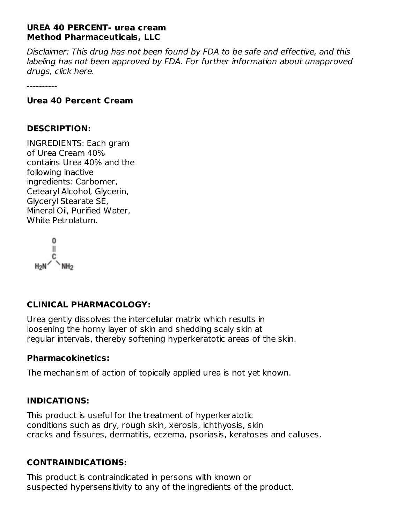## **UREA 40 PERCENT- urea cream Method Pharmaceuticals, LLC**

Disclaimer: This drug has not been found by FDA to be safe and effective, and this labeling has not been approved by FDA. For further information about unapproved drugs, click here.

----------

#### **Urea 40 Percent Cream**

#### **DESCRIPTION:**

INGREDIENTS: Each gram of Urea Cream 40% contains Urea 40% and the following inactive ingredients: Carbomer, Cetearyl Alcohol, Glycerin, Glyceryl Stearate SE, Mineral Oil, Purified Water, White Petrolatum.

0 Ш  $H_2N$ 

## **CLINICAL PHARMACOLOGY:**

Urea gently dissolves the intercellular matrix which results in loosening the horny layer of skin and shedding scaly skin at regular intervals, thereby softening hyperkeratotic areas of the skin.

## **Pharmacokinetics:**

The mechanism of action of topically applied urea is not yet known.

## **INDICATIONS:**

This product is useful for the treatment of hyperkeratotic conditions such as dry, rough skin, xerosis, ichthyosis, skin cracks and fissures, dermatitis, eczema, psoriasis, keratoses and calluses.

## **CONTRAINDICATIONS:**

This product is contraindicated in persons with known or suspected hypersensitivity to any of the ingredients of the product.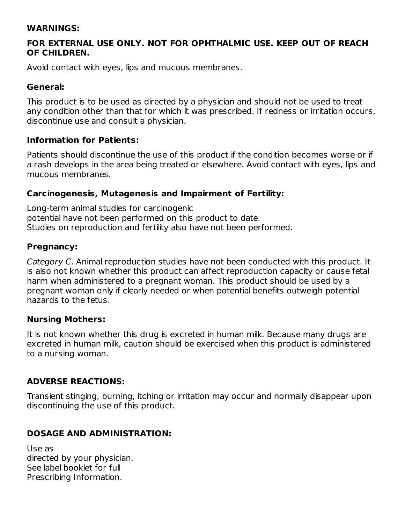#### **WARNINGS:**

## **FOR EXTERNAL USE ONLY. NOT FOR OPHTHALMIC USE. KEEP OUT OF REACH OF CHILDREN.**

Avoid contact with eyes, lips and mucous membranes.

#### **General:**

This product is to be used as directed by a physician and should not be used to treat any condition other than that for which it was prescribed. If redness or irritation occurs, discontinue use and consult a physician.

#### **Information for Patients:**

Patients should discontinue the use of this product if the condition becomes worse or if a rash develops in the area being treated or elsewhere. Avoid contact with eyes, lips and mucous membranes.

## **Carcinogenesis, Mutagenesis and Impairment of Fertility:**

Long-term animal studies for carcinogenic potential have not been performed on this product to date. Studies on reproduction and fertility also have not been performed.

#### **Pregnancy:**

Category C. Animal reproduction studies have not been conducted with this product. It is also not known whether this product can affect reproduction capacity or cause fetal harm when administered to a pregnant woman. This product should be used by a pregnant woman only if clearly needed or when potential benefits outweigh potential hazards to the fetus.

## **Nursing Mothers:**

It is not known whether this drug is excreted in human milk. Because many drugs are excreted in human milk, caution should be exercised when this product is administered to a nursing woman.

## **ADVERSE REACTIONS:**

Transient stinging, burning, itching or irritation may occur and normally disappear upon discontinuing the use of this product.

## **DOSAGE AND ADMINISTRATION:**

Use as directed by your physician. See label booklet for full Prescribing Information.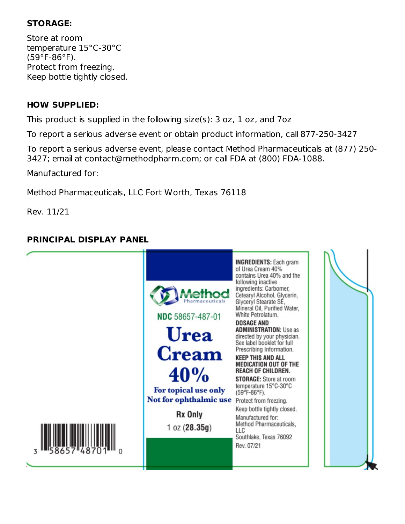## **STORAGE:**

Store at room temperature 15°C-30°C (59°F-86°F). Protect from freezing. Keep bottle tightly closed.

## **HOW SUPPLIED:**

This product is supplied in the following size(s): 3 oz, 1 oz, and 7oz

To report a serious adverse event or obtain product information, call 877-250-3427

To report a serious adverse event, please contact Method Pharmaceuticals at (877) 250- 3427; email at contact@methodpharm.com; or call FDA at (800) FDA-1088.

Manufactured for:

Method Pharmaceuticals, LLC Fort Worth, Texas 76118

Rev. 11/21

# **PRINCIPAL DISPLAY PANEL**

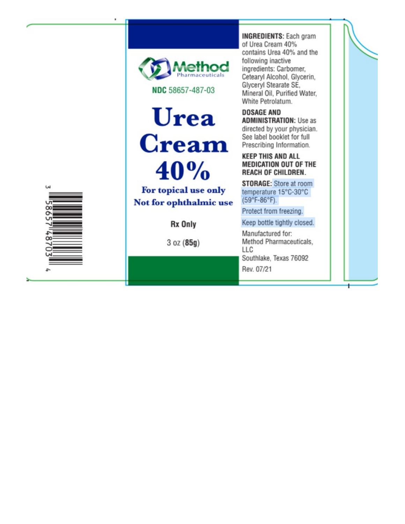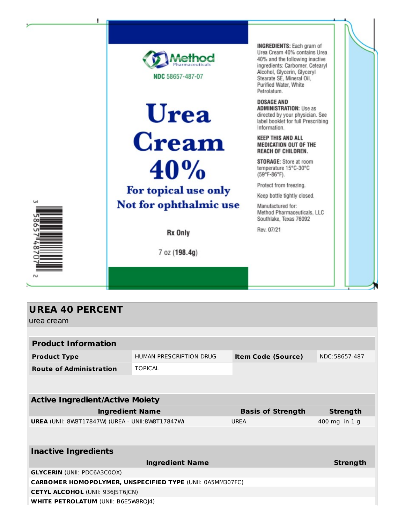

| <b>UREA 40 PERCENT</b>                                    |                                |                           |                 |  |  |  |
|-----------------------------------------------------------|--------------------------------|---------------------------|-----------------|--|--|--|
| urea cream                                                |                                |                           |                 |  |  |  |
|                                                           |                                |                           |                 |  |  |  |
| <b>Product Information</b>                                |                                |                           |                 |  |  |  |
| <b>Product Type</b>                                       | <b>HUMAN PRESCRIPTION DRUG</b> | <b>Item Code (Source)</b> | NDC:58657-487   |  |  |  |
| <b>Route of Administration</b>                            | <b>TOPICAL</b>                 |                           |                 |  |  |  |
|                                                           |                                |                           |                 |  |  |  |
|                                                           |                                |                           |                 |  |  |  |
| <b>Active Ingredient/Active Moiety</b>                    |                                |                           |                 |  |  |  |
| <b>Ingredient Name</b>                                    |                                | <b>Basis of Strength</b>  | <b>Strength</b> |  |  |  |
| UREA (UNII: 8W8T17847W) (UREA - UNII:8W8T17847W)          |                                | <b>UREA</b>               | 400 mg in 1 g   |  |  |  |
|                                                           |                                |                           |                 |  |  |  |
|                                                           |                                |                           |                 |  |  |  |
| <b>Inactive Ingredients</b>                               |                                |                           |                 |  |  |  |
| <b>Ingredient Name</b>                                    |                                |                           | <b>Strength</b> |  |  |  |
| <b>GLYCERIN (UNII: PDC6A3C0OX)</b>                        |                                |                           |                 |  |  |  |
| CARBOMER HOMOPOLYMER, UNSPECIFIED TYPE (UNII: 0A5MM307FC) |                                |                           |                 |  |  |  |
| <b>CETYL ALCOHOL (UNII: 936JST6JCN)</b>                   |                                |                           |                 |  |  |  |
| <b>WHITE PETROLATUM (UNII: B6E5W8RQJ4)</b>                |                                |                           |                 |  |  |  |